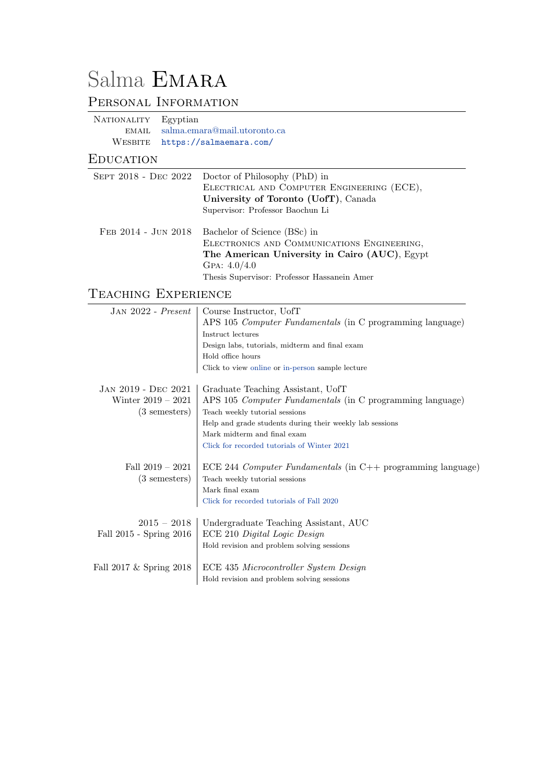# Salma EMARA

# PERSONAL INFORMATION

NATIONALITY Egyptian email [salma.emara@mail.utoronto.ca](mailto:salma.emara@mail.utoronto.ca) WESBITE <https://salmaemara.com/>

#### **EDUCATION**

|                     | SEPT 2018 - DEC 2022 Doctor of Philosophy (PhD) in<br>ELECTRICAL AND COMPUTER ENGINEERING (ECE),<br>University of Toronto (UofT), Canada<br>Supervisor: Professor Baochun Li                  |
|---------------------|-----------------------------------------------------------------------------------------------------------------------------------------------------------------------------------------------|
| FEB 2014 - JUN 2018 | Bachelor of Science (BSc) in<br>ELECTRONICS AND COMMUNICATIONS ENGINEERING,<br>The American University in Cairo (AUC), Egypt<br>GPA: $4.0/4.0$<br>Thesis Supervisor: Professor Hassanein Amer |

# Teaching Experience

| $JAN 2022 - Present$         | Course Instructor, UofT                                          |
|------------------------------|------------------------------------------------------------------|
|                              | APS 105 <i>Computer Fundamentals</i> (in C programming language) |
|                              | Instruct lectures                                                |
|                              | Design labs, tutorials, midterm and final exam                   |
|                              | Hold office hours                                                |
|                              | Click to view online or in-person sample lecture                 |
| JAN 2019 - DEC 2021          | Graduate Teaching Assistant, UofT                                |
| Winter $2019 - 2021$         | APS 105 Computer Fundamentals (in C programming language)        |
| $(3 \text{ semesters})$      | Teach weekly tutorial sessions                                   |
|                              | Help and grade students during their weekly lab sessions         |
|                              | Mark midterm and final exam                                      |
|                              | Click for recorded tutorials of Winter 2021                      |
| Fall $2019 - 2021$           | ECE 244 Computer Fundamentals (in $C++$ programming language)    |
| $(3 \text{ semesters})$      | Teach weekly tutorial sessions                                   |
|                              | Mark final exam                                                  |
|                              | Click for recorded tutorials of Fall 2020                        |
|                              |                                                                  |
| $2015 - 2018$                | Undergraduate Teaching Assistant, AUC                            |
| Fall 2015 - Spring 2016      | ECE 210 Digital Logic Design                                     |
|                              | Hold revision and problem solving sessions                       |
| Fall $2017 \&$ Spring $2018$ | ECE 435 Microcontroller System Design                            |
|                              | Hold revision and problem solving sessions                       |
|                              |                                                                  |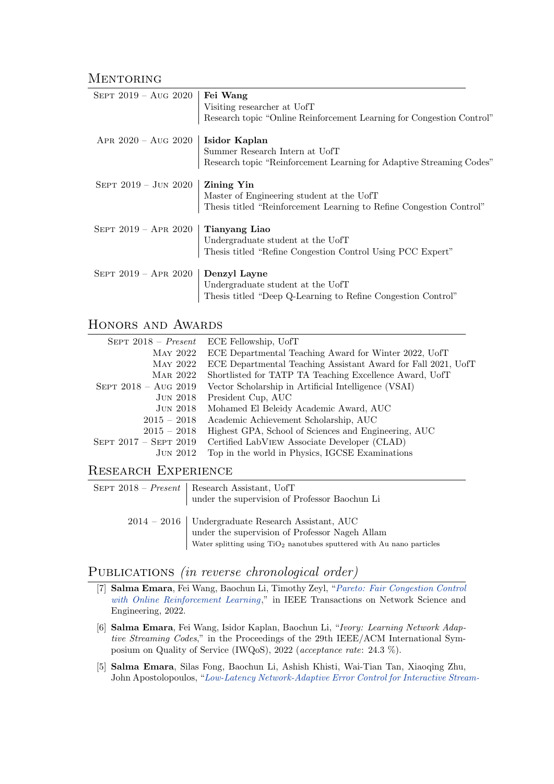#### **MENTORING**

| SEPT 2019 – Aug 2020          | Fei Wang<br>Visiting researcher at UofT<br>Research topic "Online Reinforcement Learning for Congestion Control"                      |
|-------------------------------|---------------------------------------------------------------------------------------------------------------------------------------|
| APR $2020 - \text{Aug } 2020$ | Isidor Kaplan                                                                                                                         |
|                               | Summer Research Intern at UofT<br>Research topic "Reinforcement Learning for Adaptive Streaming Codes"                                |
| SEPT $2019 - JUN 2020$        | <b>Zining Yin</b><br>Master of Engineering student at the UofT<br>Thesis titled "Reinforcement Learning to Refine Congestion Control" |
| SEPT $2019 -$ APR $2020$      | Tianyang Liao<br>Undergraduate student at the UofT<br>Thesis titled "Refine Congestion Control Using PCC Expert"                      |
| SEPT $2019 -$ APR $2020$      | Denzyl Layne<br>Undergraduate student at the UofT<br>Thesis titled "Deep Q-Learning to Refine Congestion Control"                     |

#### HONORS AND AWARDS

| $SEPT 2018 - Present$          | ECE Fellowship, UofT                                          |
|--------------------------------|---------------------------------------------------------------|
| MAY 2022                       | ECE Departmental Teaching Award for Winter 2022, UofT         |
| MAY 2022                       | ECE Departmental Teaching Assistant Award for Fall 2021, UofT |
| MAR 2022                       | Shortlisted for TATP TA Teaching Excellence Award, UofT       |
| SEPT $2018 - \text{Aug } 2019$ | Vector Scholarship in Artificial Intelligence (VSAI)          |
| JUN 2018                       | President Cup, AUC                                            |
| <b>JUN 2018</b>                | Mohamed El Beleidy Academic Award, AUC                        |
| $2015 - 2018$                  | Academic Achievement Scholarship, AUC                         |
| $2015 - 2018$                  | Highest GPA, School of Sciences and Engineering, AUC          |
| SEPT $2017 -$ SEPT $2019$      | Certified LabVIEW Associate Developer (CLAD)                  |
| JUN 2012                       | Top in the world in Physics, IGCSE Examinations               |

#### Research Experience

| SEPT $2018$ – <i>Present</i>   Research Assistant, UofT<br>under the supervision of Professor Baochun Li                                                                         |
|----------------------------------------------------------------------------------------------------------------------------------------------------------------------------------|
| 2014 – 2016   Undergraduate Research Assistant, AUC<br>under the supervision of Professor Nageh Allam<br>Water splitting using $TiO2$ nanotubes sputtered with Au nano particles |

### PUBLICATIONS (in reverse chronological order)

- [7] Salma Emara, Fei Wang, Baochun Li, Timothy Zeyl, "[Pareto: Fair Congestion Control](https://ieeexplore.ieee.org/document/9803860) [with Online Reinforcement Learning](https://ieeexplore.ieee.org/document/9803860)," in IEEE Transactions on Network Science and Engineering, 2022.
- [6] Salma Emara, Fei Wang, Isidor Kaplan, Baochun Li, "Ivory: Learning Network Adaptive Streaming Codes," in the Proceedings of the 29th IEEE/ACM International Symposium on Quality of Service (IWQoS), 2022 (acceptance rate: 24.3 %).
- [5] Salma Emara, Silas Fong, Baochun Li, Ashish Khisti, Wai-Tian Tan, Xiaoqing Zhu, John Apostolopoulos, "[Low-Latency Network-Adaptive Error Control for Interactive Strea](https://ieeexplore.ieee.org/document/9392285)m-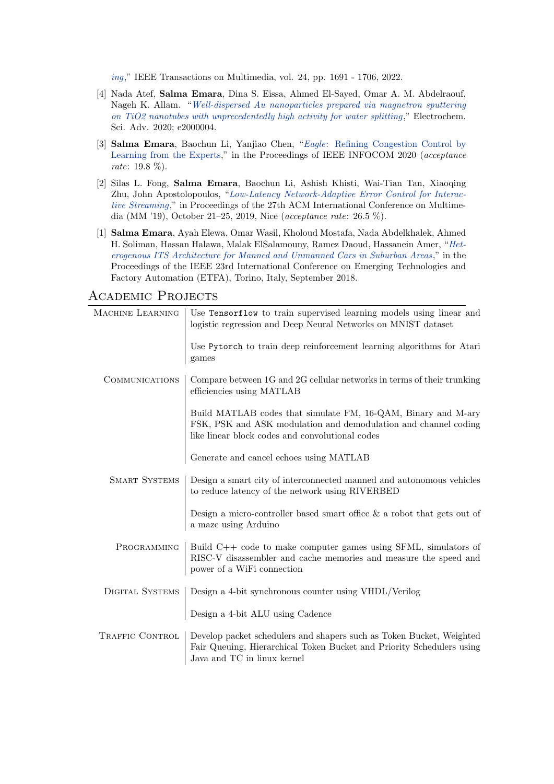[ing](https://ieeexplore.ieee.org/document/9392285)," IEEE Transactions on Multimedia, vol. 24, pp. 1691 - 1706, 2022.

- [4] Nada Atef, Salma Emara, Dina S. Eissa, Ahmed El-Sayed, Omar A. M. Abdelraouf, Nageh K. Allam. "[Well-dispersed Au nanoparticles prepared via magnetron sputtering](https://doi.org/10.1002/elsa.202000004) [on TiO2 nanotubes with unprecedentedly high activity for water splitting](https://doi.org/10.1002/elsa.202000004)," Electrochem. Sci. Adv. 2020; e2000004.
- [3] Salma Emara, Baochun Li, Yanjiao Chen, "Eagle[: Refining Congestion Control by](https://ieeexplore.ieee.org/document/9155250) [Learning from the Experts,](https://ieeexplore.ieee.org/document/9155250)" in the Proceedings of IEEE INFOCOM 2020 (acceptance rate: 19.8 %).
- [2] Silas L. Fong, Salma Emara, Baochun Li, Ashish Khisti, Wai-Tian Tan, Xiaoqing Zhu, John Apostolopoulos, "[Low-Latency Network-Adaptive Error Control for Interac](https://dl.acm.org/doi/abs/10.1145/3343031.3350942)[tive Streaming](https://dl.acm.org/doi/abs/10.1145/3343031.3350942)," in Proceedings of the 27th ACM International Conference on Multimedia (MM '19), October 21–25, 2019, Nice (acceptance rate: 26.5 %).
- [1] Salma Emara, Ayah Elewa, Omar Wasil, Kholoud Mostafa, Nada Abdelkhalek, Ahmed H. Soliman, Hassan Halawa, Malak ElSalamouny, Ramez Daoud, Hassanein Amer, "[Het](https://ieeexplore.ieee.org/document/8502452)[erogenous ITS Architecture for Manned and Unmanned Cars in Suburban Areas](https://ieeexplore.ieee.org/document/8502452) ," in the Proceedings of the IEEE 23rd International Conference on Emerging Technologies and Factory Automation (ETFA), Torino, Italy, September 2018.

| MACHINE LEARNING       | Use Tensorflow to train supervised learning models using linear and<br>logistic regression and Deep Neural Networks on MNIST dataset                                                |
|------------------------|-------------------------------------------------------------------------------------------------------------------------------------------------------------------------------------|
|                        | Use Pytorch to train deep reinforcement learning algorithms for Atari<br>games                                                                                                      |
| <b>COMMUNICATIONS</b>  | Compare between 1G and 2G cellular networks in terms of their trunking<br>efficiencies using MATLAB                                                                                 |
|                        | Build MATLAB codes that simulate FM, 16-QAM, Binary and M-ary<br>FSK, PSK and ASK modulation and demodulation and channel coding<br>like linear block codes and convolutional codes |
|                        | Generate and cancel echoes using MATLAB                                                                                                                                             |
| <b>SMART SYSTEMS</b>   | Design a smart city of interconnected manned and autonomous vehicles<br>to reduce latency of the network using RIVERBED                                                             |
|                        | Design a micro-controller based smart office $\&$ a robot that gets out of<br>a maze using Arduino                                                                                  |
| PROGRAMMING            | Build $C++$ code to make computer games using SFML, simulators of<br>RISC-V disassembler and cache memories and measure the speed and<br>power of a WiFi connection                 |
| <b>DIGITAL SYSTEMS</b> | Design a 4-bit synchronous counter using VHDL/Verilog                                                                                                                               |
|                        | Design a 4-bit ALU using Cadence                                                                                                                                                    |
| TRAFFIC CONTROL        | Develop packet schedulers and shapers such as Token Bucket, Weighted<br>Fair Queuing, Hierarchical Token Bucket and Priority Schedulers using<br>Java and TC in linux kernel        |

#### Academic Projects